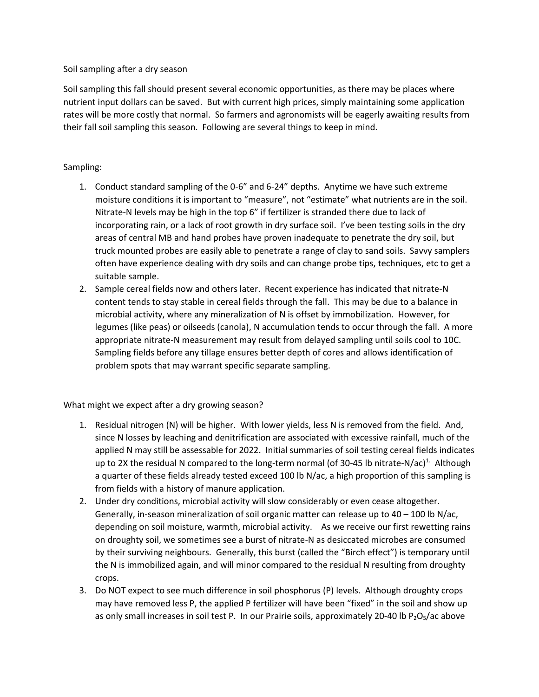## Soil sampling after a dry season

Soil sampling this fall should present several economic opportunities, as there may be places where nutrient input dollars can be saved. But with current high prices, simply maintaining some application rates will be more costly that normal. So farmers and agronomists will be eagerly awaiting results from their fall soil sampling this season. Following are several things to keep in mind.

## Sampling:

- 1. Conduct standard sampling of the 0-6" and 6-24" depths. Anytime we have such extreme moisture conditions it is important to "measure", not "estimate" what nutrients are in the soil. Nitrate-N levels may be high in the top 6" if fertilizer is stranded there due to lack of incorporating rain, or a lack of root growth in dry surface soil. I've been testing soils in the dry areas of central MB and hand probes have proven inadequate to penetrate the dry soil, but truck mounted probes are easily able to penetrate a range of clay to sand soils. Savvy samplers often have experience dealing with dry soils and can change probe tips, techniques, etc to get a suitable sample.
- 2. Sample cereal fields now and others later. Recent experience has indicated that nitrate-N content tends to stay stable in cereal fields through the fall. This may be due to a balance in microbial activity, where any mineralization of N is offset by immobilization. However, for legumes (like peas) or oilseeds (canola), N accumulation tends to occur through the fall. A more appropriate nitrate-N measurement may result from delayed sampling until soils cool to 10C. Sampling fields before any tillage ensures better depth of cores and allows identification of problem spots that may warrant specific separate sampling.

What might we expect after a dry growing season?

- 1. Residual nitrogen (N) will be higher. With lower yields, less N is removed from the field. And, since N losses by leaching and denitrification are associated with excessive rainfall, much of the applied N may still be assessable for 2022. Initial summaries of soil testing cereal fields indicates up to 2X the residual N compared to the long-term normal (of 30-45 lb nitrate-N/ac)<sup>1.</sup> Although a quarter of these fields already tested exceed 100 lb N/ac, a high proportion of this sampling is from fields with a history of manure application.
- 2. Under dry conditions, microbial activity will slow considerably or even cease altogether. Generally, in-season mineralization of soil organic matter can release up to 40 – 100 lb N/ac, depending on soil moisture, warmth, microbial activity. As we receive our first rewetting rains on droughty soil, we sometimes see a burst of nitrate-N as desiccated microbes are consumed by their surviving neighbours. Generally, this burst (called the "Birch effect") is temporary until the N is immobilized again, and will minor compared to the residual N resulting from droughty crops.
- 3. Do NOT expect to see much difference in soil phosphorus (P) levels. Although droughty crops may have removed less P, the applied P fertilizer will have been "fixed" in the soil and show up as only small increases in soil test P. In our Prairie soils, approximately 20-40 lb  $P_2O_5/ac$  above